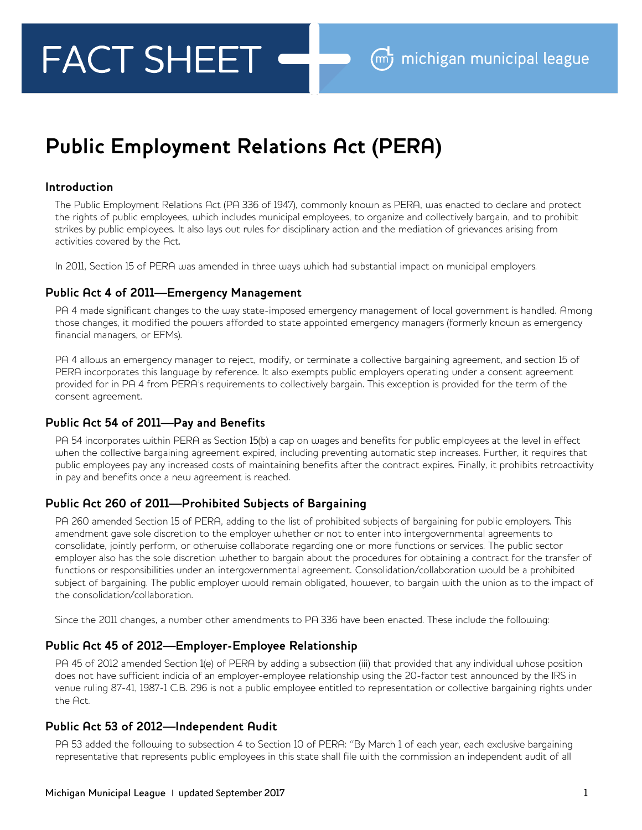# **FACT SHEET**

# **Public Employment Relations Act (PERA)**

#### **Introduction**

The Public Employment Relations Act (PA 336 of 1947), commonly known as PERA, was enacted to declare and protect the rights of public employees, which includes municipal employees, to organize and collectively bargain, and to prohibit strikes by public employees. It also lays out rules for disciplinary action and the mediation of grievances arising from activities covered by the Act.

In 2011, Section 15 of PERA was amended in three ways which had substantial impact on municipal employers.

#### **Public Act 4 of 2011—Emergency Management**

PA 4 made significant changes to the way state-imposed emergency management of local government is handled. Among those changes, it modified the powers afforded to state appointed emergency managers (formerly known as emergency financial managers, or EFMs).

PA 4 allows an emergency manager to reject, modify, or terminate a collective bargaining agreement, and section 15 of PERA incorporates this language by reference. It also exempts public employers operating under a consent agreement provided for in PA 4 from PERA's requirements to collectively bargain. This exception is provided for the term of the consent agreement.

# **Public Act 54 of 2011—Pay and Benefits**

PA 54 incorporates within PERA as Section 15(b) a cap on wages and benefits for public employees at the level in effect when the collective bargaining agreement expired, including preventing automatic step increases. Further, it requires that public employees pay any increased costs of maintaining benefits after the contract expires. Finally, it prohibits retroactivity in pay and benefits once a new agreement is reached.

# **Public Act 260 of 2011—Prohibited Subjects of Bargaining**

PA 260 amended Section 15 of PERA, adding to the list of prohibited subjects of bargaining for public employers. This amendment gave sole discretion to the employer whether or not to enter into intergovernmental agreements to consolidate, jointly perform, or otherwise collaborate regarding one or more functions or services. The public sector employer also has the sole discretion whether to bargain about the procedures for obtaining a contract for the transfer of functions or responsibilities under an intergovernmental agreement. Consolidation/collaboration would be a prohibited subject of bargaining. The public employer would remain obligated, however, to bargain with the union as to the impact of the consolidation/collaboration.

Since the 2011 changes, a number other amendments to PA 336 have been enacted. These include the following:

# **Public Act 45 of 2012—Employer-Employee Relationship**

PA 45 of 2012 amended Section 1(e) of PERA by adding a subsection (iii) that provided that any individual whose position does not have sufficient indicia of an employer-employee relationship using the 20-factor test announced by the IRS in venue ruling 87-41, 1987-1 C.B. 296 is not a public employee entitled to representation or collective bargaining rights under the Act.

#### **Public Act 53 of 2012—Independent Audit**

PA 53 added the following to subsection 4 to Section 10 of PERA: "By March 1 of each year, each exclusive bargaining representative that represents public employees in this state shall file with the commission an independent audit of all